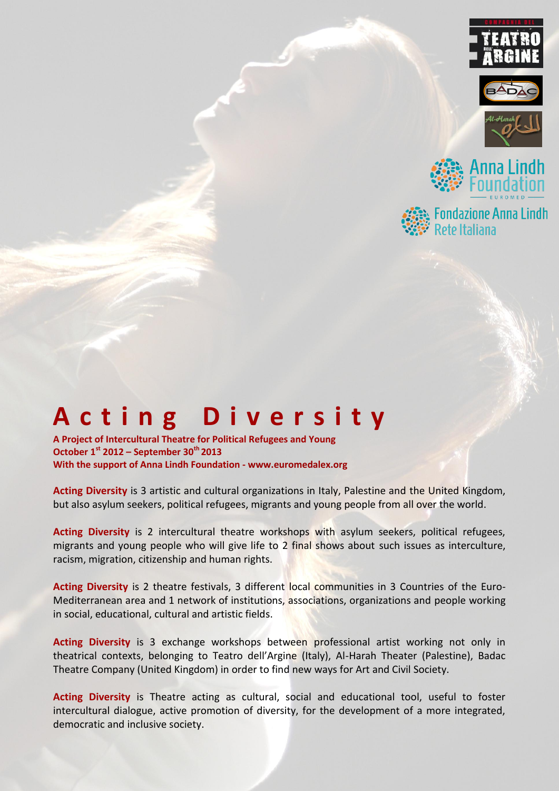







# **A c t i n g D i v e r s i t y**

**A Project of Intercultural Theatre for Political Refugees and Young October 1st 2012 – September 30th 2013 With the support of Anna Lindh Foundation - www.euromedalex.org**

**Acting Diversity** is 3 artistic and cultural organizations in Italy, Palestine and the United Kingdom, but also asylum seekers, political refugees, migrants and young people from all over the world.

**Acting Diversity** is 2 intercultural theatre workshops with asylum seekers, political refugees, migrants and young people who will give life to 2 final shows about such issues as interculture, racism, migration, citizenship and human rights.

**Acting Diversity** is 2 theatre festivals, 3 different local communities in 3 Countries of the Euro-Mediterranean area and 1 network of institutions, associations, organizations and people working in social, educational, cultural and artistic fields.

**Acting Diversity** is 3 exchange workshops between professional artist working not only in theatrical contexts, belonging to Teatro dell'Argine (Italy), Al-Harah Theater (Palestine), Badac Theatre Company (United Kingdom) in order to find new ways for Art and Civil Society.

Acting Diversity is Theatre acting as cultural, social and educational tool, useful to foster intercultural dialogue, active promotion of diversity, for the development of a more integrated, democratic and inclusive society.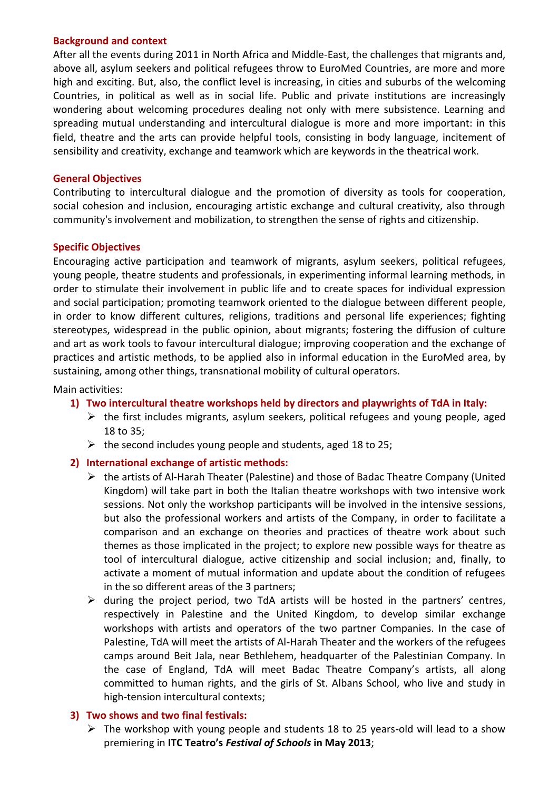## **Background and context**

After all the events during 2011 in North Africa and Middle-East, the challenges that migrants and, above all, asylum seekers and political refugees throw to EuroMed Countries, are more and more high and exciting. But, also, the conflict level is increasing, in cities and suburbs of the welcoming Countries, in political as well as in social life. Public and private institutions are increasingly wondering about welcoming procedures dealing not only with mere subsistence. Learning and spreading mutual understanding and intercultural dialogue is more and more important: in this field, theatre and the arts can provide helpful tools, consisting in body language, incitement of sensibility and creativity, exchange and teamwork which are keywords in the theatrical work.

## **General Objectives**

Contributing to intercultural dialogue and the promotion of diversity as tools for cooperation, social cohesion and inclusion, encouraging artistic exchange and cultural creativity, also through community's involvement and mobilization, to strengthen the sense of rights and citizenship.

## **Specific Objectives**

Encouraging active participation and teamwork of migrants, asylum seekers, political refugees, young people, theatre students and professionals, in experimenting informal learning methods, in order to stimulate their involvement in public life and to create spaces for individual expression and social participation; promoting teamwork oriented to the dialogue between different people, in order to know different cultures, religions, traditions and personal life experiences; fighting stereotypes, widespread in the public opinion, about migrants; fostering the diffusion of culture and art as work tools to favour intercultural dialogue; improving cooperation and the exchange of practices and artistic methods, to be applied also in informal education in the EuroMed area, by sustaining, among other things, transnational mobility of cultural operators.

Main activities:

- **1) Two intercultural theatre workshops held by directors and playwrights of TdA in Italy:**
	- $\triangleright$  the first includes migrants, asylum seekers, political refugees and young people, aged 18 to 35;
	- $\triangleright$  the second includes young people and students, aged 18 to 25;

## **2) International exchange of artistic methods:**

- the artists of Al-Harah Theater (Palestine) and those of Badac Theatre Company (United Kingdom) will take part in both the Italian theatre workshops with two intensive work sessions. Not only the workshop participants will be involved in the intensive sessions, but also the professional workers and artists of the Company, in order to facilitate a comparison and an exchange on theories and practices of theatre work about such themes as those implicated in the project; to explore new possible ways for theatre as tool of intercultural dialogue, active citizenship and social inclusion; and, finally, to activate a moment of mutual information and update about the condition of refugees in the so different areas of the 3 partners;
- $\triangleright$  during the project period, two TdA artists will be hosted in the partners' centres, respectively in Palestine and the United Kingdom, to develop similar exchange workshops with artists and operators of the two partner Companies. In the case of Palestine, TdA will meet the artists of Al-Harah Theater and the workers of the refugees camps around Beit Jala, near Bethlehem, headquarter of the Palestinian Company. In the case of England, TdA will meet Badac Theatre Company's artists, all along committed to human rights, and the girls of St. Albans School, who live and study in high-tension intercultural contexts;

## **3) Two shows and two final festivals:**

 $\triangleright$  The workshop with young people and students 18 to 25 years-old will lead to a show premiering in **ITC Teatro's** *Festival of Schools* **in May 2013**;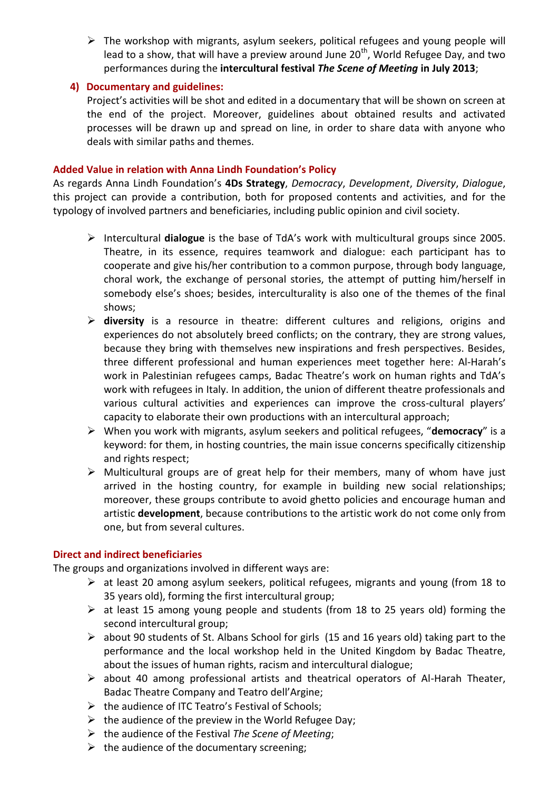$\triangleright$  The workshop with migrants, asylum seekers, political refugees and young people will lead to a show, that will have a preview around June  $20<sup>th</sup>$ , World Refugee Day, and two performances during the **intercultural festival** *The Scene of Meeting* **in July 2013**;

## **4) Documentary and guidelines:**

Project's activities will be shot and edited in a documentary that will be shown on screen at the end of the project. Moreover, guidelines about obtained results and activated processes will be drawn up and spread on line, in order to share data with anyone who deals with similar paths and themes.

## **Added Value in relation with Anna Lindh Foundation's Policy**

As regards Anna Lindh Foundation's **4Ds Strategy**, *Democracy*, *Development*, *Diversity*, *Dialogue*, this project can provide a contribution, both for proposed contents and activities, and for the typology of involved partners and beneficiaries, including public opinion and civil society.

- Intercultural **dialogue** is the base of TdA's work with multicultural groups since 2005. Theatre, in its essence, requires teamwork and dialogue: each participant has to cooperate and give his/her contribution to a common purpose, through body language, choral work, the exchange of personal stories, the attempt of putting him/herself in somebody else's shoes; besides, interculturality is also one of the themes of the final shows;
- **diversity** is a resource in theatre: different cultures and religions, origins and experiences do not absolutely breed conflicts; on the contrary, they are strong values, because they bring with themselves new inspirations and fresh perspectives. Besides, three different professional and human experiences meet together here: Al-Harah's work in Palestinian refugees camps, Badac Theatre's work on human rights and TdA's work with refugees in Italy. In addition, the union of different theatre professionals and various cultural activities and experiences can improve the cross-cultural players' capacity to elaborate their own productions with an intercultural approach;
- When you work with migrants, asylum seekers and political refugees, "**democracy**" is a keyword: for them, in hosting countries, the main issue concerns specifically citizenship and rights respect;
- $\triangleright$  Multicultural groups are of great help for their members, many of whom have just arrived in the hosting country, for example in building new social relationships; moreover, these groups contribute to avoid ghetto policies and encourage human and artistic **development**, because contributions to the artistic work do not come only from one, but from several cultures.

## **Direct and indirect beneficiaries**

The groups and organizations involved in different ways are:

- $\triangleright$  at least 20 among asylum seekers, political refugees, migrants and young (from 18 to 35 years old), forming the first intercultural group;
- $\triangleright$  at least 15 among young people and students (from 18 to 25 years old) forming the second intercultural group;
- $\triangleright$  about 90 students of St. Albans School for girls (15 and 16 years old) taking part to the performance and the local workshop held in the United Kingdom by Badac Theatre, about the issues of human rights, racism and intercultural dialogue;
- $\triangleright$  about 40 among professional artists and theatrical operators of Al-Harah Theater, Badac Theatre Company and Teatro dell'Argine;
- $\triangleright$  the audience of ITC Teatro's Festival of Schools;
- $\triangleright$  the audience of the preview in the World Refugee Day;
- the audience of the Festival *The Scene of Meeting*;
- $\triangleright$  the audience of the documentary screening;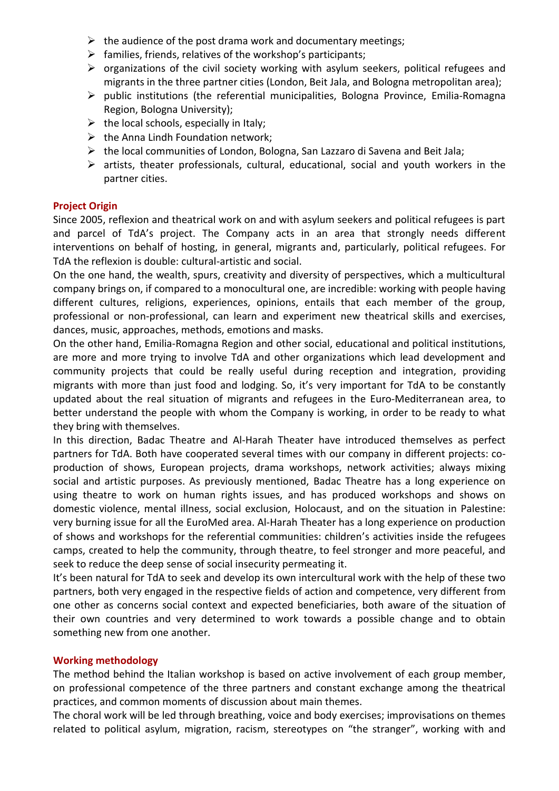- $\triangleright$  the audience of the post drama work and documentary meetings;
- $\triangleright$  families, friends, relatives of the workshop's participants;
- $\triangleright$  organizations of the civil society working with asylum seekers, political refugees and migrants in the three partner cities (London, Beit Jala, and Bologna metropolitan area);
- $\triangleright$  public institutions (the referential municipalities, Bologna Province, Emilia-Romagna Region, Bologna University);
- $\triangleright$  the local schools, especially in Italy;
- $\triangleright$  the Anna Lindh Foundation network;
- $\triangleright$  the local communities of London, Bologna, San Lazzaro di Savena and Beit Jala;
- $\triangleright$  artists, theater professionals, cultural, educational, social and youth workers in the partner cities.

## **Project Origin**

Since 2005, reflexion and theatrical work on and with asylum seekers and political refugees is part and parcel of TdA's project. The Company acts in an area that strongly needs different interventions on behalf of hosting, in general, migrants and, particularly, political refugees. For TdA the reflexion is double: cultural-artistic and social.

On the one hand, the wealth, spurs, creativity and diversity of perspectives, which a multicultural company brings on, if compared to a monocultural one, are incredible: working with people having different cultures, religions, experiences, opinions, entails that each member of the group, professional or non-professional, can learn and experiment new theatrical skills and exercises, dances, music, approaches, methods, emotions and masks.

On the other hand, Emilia-Romagna Region and other social, educational and political institutions, are more and more trying to involve TdA and other organizations which lead development and community projects that could be really useful during reception and integration, providing migrants with more than just food and lodging. So, it's very important for TdA to be constantly updated about the real situation of migrants and refugees in the Euro-Mediterranean area, to better understand the people with whom the Company is working, in order to be ready to what they bring with themselves.

In this direction, Badac Theatre and Al-Harah Theater have introduced themselves as perfect partners for TdA. Both have cooperated several times with our company in different projects: coproduction of shows, European projects, drama workshops, network activities; always mixing social and artistic purposes. As previously mentioned, Badac Theatre has a long experience on using theatre to work on human rights issues, and has produced workshops and shows on domestic violence, mental illness, social exclusion, Holocaust, and on the situation in Palestine: very burning issue for all the EuroMed area. Al-Harah Theater has a long experience on production of shows and workshops for the referential communities: children's activities inside the refugees camps, created to help the community, through theatre, to feel stronger and more peaceful, and seek to reduce the deep sense of social insecurity permeating it.

It's been natural for TdA to seek and develop its own intercultural work with the help of these two partners, both very engaged in the respective fields of action and competence, very different from one other as concerns social context and expected beneficiaries, both aware of the situation of their own countries and very determined to work towards a possible change and to obtain something new from one another.

#### **Working methodology**

The method behind the Italian workshop is based on active involvement of each group member, on professional competence of the three partners and constant exchange among the theatrical practices, and common moments of discussion about main themes.

The choral work will be led through breathing, voice and body exercises; improvisations on themes related to political asylum, migration, racism, stereotypes on "the stranger", working with and